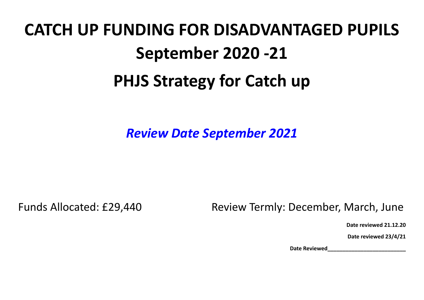## **CATCH UP FUNDING FOR DISADVANTAGED PUPILS September 2020 -21 PHJS Strategy for Catch up**

*Review Date September 2021*

Funds Allocated: £29,440 Review Termly: December, March, June

**Date reviewed 21.12.20**

**Date reviewed 23/4/21**

**Date Reviewed\_\_\_\_\_\_\_\_\_\_\_\_\_\_\_\_\_\_\_\_\_\_\_\_\_\_**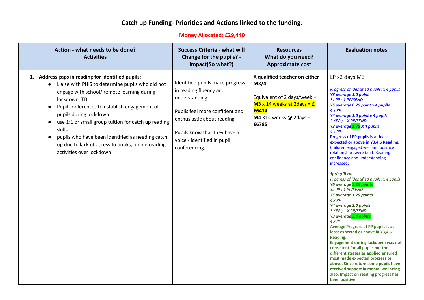## **Catch up Funding- Priorities and Actions linked to the funding.**

## **Money Allocated: £29,440**

| Action - what needs to be done?<br><b>Activities</b>                                                                                                                                                                                                                                                                                                                                                                                                | <b>Success Criteria - what will</b><br>Change for the pupils? -<br>Impact(So what?)                                                                                                                                          | <b>Resources</b><br>What do you need?<br><b>Approximate cost</b>                                                                                               | <b>Evaluation notes</b>                                                                                                                                                                                                                                                                                                                                                                                                                                                                                                                                                                                                                                                                                                                                                                                                                                                                                                                                                                                                                                                               |
|-----------------------------------------------------------------------------------------------------------------------------------------------------------------------------------------------------------------------------------------------------------------------------------------------------------------------------------------------------------------------------------------------------------------------------------------------------|------------------------------------------------------------------------------------------------------------------------------------------------------------------------------------------------------------------------------|----------------------------------------------------------------------------------------------------------------------------------------------------------------|---------------------------------------------------------------------------------------------------------------------------------------------------------------------------------------------------------------------------------------------------------------------------------------------------------------------------------------------------------------------------------------------------------------------------------------------------------------------------------------------------------------------------------------------------------------------------------------------------------------------------------------------------------------------------------------------------------------------------------------------------------------------------------------------------------------------------------------------------------------------------------------------------------------------------------------------------------------------------------------------------------------------------------------------------------------------------------------|
| 1. Address gaps in reading for identified pupils:<br>Liaise with PHIS to determine pupils who did not<br>engage with school/ remote learning during<br>lockdown. TD<br>Pupil conferences to establish engagement of<br>pupils during lockdown<br>use 1:1 or small group tuition for catch up reading<br>skills<br>pupils who have been identified as needing catch<br>up due to lack of access to books, online reading<br>activities over lockdown | Identified pupils make progress<br>in reading fluency and<br>understanding.<br>Pupils feel more confident and<br>enthusiastic about reading.<br>Pupils know that they have a<br>voice - identified in pupil<br>conferencing. | A qualified teacher on either<br>M3/4<br>Equivalent of 2 days/week =<br>$M3 \times 14$ weeks at 2days = $E$<br>£6414<br>M4 X14 weeks $\omega$ 2days =<br>£6785 | LP x2 days M3<br>Progress of identified pupils: x 4 pupils<br>Y6 average 1.0 point<br>3x PP ; 1 PP/SEND<br>Y5 average 0.75 point x 4 pupils<br>4xPP<br>Y4 average 1.0 point x 4 pupils<br>3 XPP ; 1 X PP/SEND<br>Y3 average 1.75 X 4 pupils<br>4xPP<br>Progress of PP pupils is at least<br>expected or above in Y3,4,6 Reading.<br>Children engaged well and positive<br>relationships were built. Reading<br>confidence and understanding<br>increased.<br><b>Spring Term</b><br>Progress of identified pupils: x 4 pupils<br>Y6 average 2.25 points<br>3x PP ; 1 PP/SEND<br>Y5 average 1.75 points<br>4xPP<br>Y4 average 2.0 points<br>3 XPP ; 1 X PP/SEND<br>Y3 average 3.0 points<br>4xPP<br>Average Progress of PP pupils is at<br>least expected or above in Y3,4,6<br>Reading.<br>Engagement during lockdown was not<br>consistent for all pupils but the<br>different strategies applied ensured<br>most made expected progress or<br>above. Since return some pupils have<br>received support in mental wellbeing<br>also. Impact on reading progress has<br>been positive. |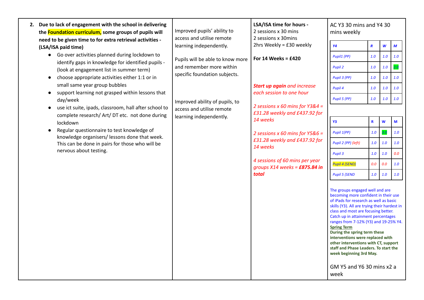| 2. Due to lack of engagement with the school in delivering<br>the <b>Foundation curriculum</b> , some groups of pupils will | Improved pupils' ability to<br>access and utilise remote        | LSA/ISA time for hours -<br>2 sessions x 30 mins<br>2 sessions x 30mins                                                              | AC Y3 30 mins and Y4 30<br>mins weekly                                                                                                                                                                                                                                                                                                                                                                                                                                                                                     |                  |     |     |
|-----------------------------------------------------------------------------------------------------------------------------|-----------------------------------------------------------------|--------------------------------------------------------------------------------------------------------------------------------------|----------------------------------------------------------------------------------------------------------------------------------------------------------------------------------------------------------------------------------------------------------------------------------------------------------------------------------------------------------------------------------------------------------------------------------------------------------------------------------------------------------------------------|------------------|-----|-----|
| need to be given time to for extra retrieval activities -<br>(LSA/ISA paid time)                                            | learning independently.                                         | 2hrs Weekly = £30 weekly                                                                                                             | Y <sub>4</sub>                                                                                                                                                                                                                                                                                                                                                                                                                                                                                                             | $\boldsymbol{R}$ | W   | M   |
| Go over activities planned during lockdown to                                                                               | Pupils will be able to know more                                | For 14 Weeks = $£420$                                                                                                                | Pupil1 (PP)                                                                                                                                                                                                                                                                                                                                                                                                                                                                                                                | 1.0              | 1.0 | 1.0 |
| identify gaps in knowledge for identified pupils -<br>(look at engagement list in summer term)                              | and remember more within                                        |                                                                                                                                      | Pupil 2                                                                                                                                                                                                                                                                                                                                                                                                                                                                                                                    | 1.0              | 1.0 |     |
| choose appropriate activities either 1:1 or in                                                                              | specific foundation subjects.<br>Improved ability of pupils, to | <b>Start up again</b> and increase<br>each session to one hour<br>2 sessions x 60 mins for $Y384 =$<br>£31.28 weekly and £437.92 for | Pupil 3 (PP)                                                                                                                                                                                                                                                                                                                                                                                                                                                                                                               | 1.0              | 1.0 | 1.0 |
| small same year group bubbles                                                                                               |                                                                 |                                                                                                                                      | Pupil 4                                                                                                                                                                                                                                                                                                                                                                                                                                                                                                                    | 1.0              | 1.0 | 1.0 |
| support learning not grasped within lessons that<br>$\bullet$<br>day/week                                                   |                                                                 |                                                                                                                                      | Pupil 5 (PP)                                                                                                                                                                                                                                                                                                                                                                                                                                                                                                               | 1.0              | 1.0 | 1.0 |
| use ict suite, ipads, classroom, hall after school to                                                                       | access and utilise remote                                       |                                                                                                                                      |                                                                                                                                                                                                                                                                                                                                                                                                                                                                                                                            |                  |     |     |
| complete research/ Art/ DT etc. not done during<br>lockdown                                                                 | learning independently.                                         | 14 weeks                                                                                                                             | <b>Y3</b>                                                                                                                                                                                                                                                                                                                                                                                                                                                                                                                  | $\mathbf R$      | W   | M   |
| Regular questionnaire to test knowledge of                                                                                  |                                                                 | 2 sessions x 60 mins for Y5&6 =                                                                                                      | Pupil 1(PP)                                                                                                                                                                                                                                                                                                                                                                                                                                                                                                                | 1.0              | 3.0 | 1.0 |
| knowledge organisers/lessons done that week.<br>This can be done in pairs for those who will be                             | 14 weeks                                                        | £31.28 weekly and £437.92 for                                                                                                        | Pupil 2 (PP) (left)                                                                                                                                                                                                                                                                                                                                                                                                                                                                                                        | 1.0              | 1.0 | 1.0 |
| nervous about testing.                                                                                                      |                                                                 | 4 sessions of 60 mins per year<br>groups $X14$ weeks = £875.84 in<br>total                                                           | Pupil 3                                                                                                                                                                                                                                                                                                                                                                                                                                                                                                                    | $1.0$            | 1.0 | 0.0 |
|                                                                                                                             |                                                                 |                                                                                                                                      | <b>Pupil 4 (SEND)</b>                                                                                                                                                                                                                                                                                                                                                                                                                                                                                                      | 0.0              | 0.0 | 1.0 |
|                                                                                                                             |                                                                 |                                                                                                                                      | <b>Pupil 5 (SEND</b>                                                                                                                                                                                                                                                                                                                                                                                                                                                                                                       | 1.0              | 1.0 | 1.0 |
|                                                                                                                             |                                                                 |                                                                                                                                      | The groups engaged well and are<br>becoming more confident in their use<br>of iPads for research as well as basic<br>skills (Y3). All are trying their hardest in<br>class and most are focusing better.<br>Catch up in attainment percentages<br>ranges from 7-12% (Y3) and 19-25% Y4.<br><b>Spring Term</b><br>During the spring term these<br>interventions were replaced with<br>other interventions with CT, support<br>staff and Phase Leaders. To start the<br>week beginning 3rd May.<br>GM Y5 and Y6 30 mins x2 a |                  |     |     |
|                                                                                                                             |                                                                 |                                                                                                                                      | week                                                                                                                                                                                                                                                                                                                                                                                                                                                                                                                       |                  |     |     |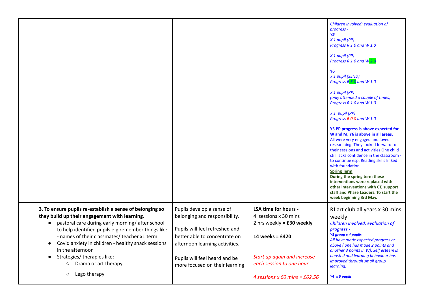|                                                                                                                                                                                                                                                                                                                                                                                         |                                                                                                                                                                                                  |                                                                                                                               | Children involved: evaluation of<br>progress -<br><b>Y5</b><br>X 1 pupil (PP)<br>Progress R 1.0 and W 1.0<br>X 1 pupil (PP)<br>Progress R 1.0 and W 2.0<br><b>Y6</b><br>X 1 pupil (SEND)<br>Progress $R$ 3.0 and W 1.0<br>X 1 pupil (PP)<br>(only attended a couple of times)<br>Progress R 1.0 and W 1.0<br>X 1 pupil (PP)<br>Progress R 0.0 and W 1.0<br>Y5 PP progress is above expected for<br>W and M, Y6 is above in all areas.<br>All were very engaged and loved<br>researching. They looked forward to<br>their sessions and activities. One child<br>still lacks confidence in the classroom -<br>to continue esp. Reading skills linked<br>with foundation.<br><b>Spring Term</b><br>During the spring term these<br>interventions were replaced with<br>other interventions with CT, support<br>staff and Phase Leaders. To start the<br>week beginning 3rd May. |
|-----------------------------------------------------------------------------------------------------------------------------------------------------------------------------------------------------------------------------------------------------------------------------------------------------------------------------------------------------------------------------------------|--------------------------------------------------------------------------------------------------------------------------------------------------------------------------------------------------|-------------------------------------------------------------------------------------------------------------------------------|------------------------------------------------------------------------------------------------------------------------------------------------------------------------------------------------------------------------------------------------------------------------------------------------------------------------------------------------------------------------------------------------------------------------------------------------------------------------------------------------------------------------------------------------------------------------------------------------------------------------------------------------------------------------------------------------------------------------------------------------------------------------------------------------------------------------------------------------------------------------------|
| 3. To ensure pupils re-establish a sense of belonging so<br>they build up their engagement with learning.<br>pastoral care during early morning/after school<br>$\bullet$<br>to help identified pupils e.g remember things like<br>- names of their classmates/ teacher x1 term<br>Covid anxiety in children - healthy snack sessions<br>in the afternoon<br>Strategies/therapies like: | Pupils develop a sense of<br>belonging and responsibility.<br>Pupils will feel refreshed and<br>better able to concentrate on<br>afternoon learning activities.<br>Pupils will feel heard and be | LSA time for hours -<br>4 sessions x 30 mins<br>2 hrs weekly = $£30$ weekly<br>14 weeks = £420<br>Start up again and increase | RJ art club all years x 30 mins<br>weekly<br>Children involved: evaluation of<br>progress -<br>Y3 group x 4 pupils<br>All have made expected progress or<br>above (one has made 2 points and<br>another 3 points in W). Self esteem is<br>boosted and learning behaviour has<br>improved through small group                                                                                                                                                                                                                                                                                                                                                                                                                                                                                                                                                                 |
| Drama or art therapy<br>$\circ$<br>Lego therapy<br>$\circ$                                                                                                                                                                                                                                                                                                                              | more focused on their learning                                                                                                                                                                   | each session to one hour<br>4 sessions x 60 mins = $£62.56$                                                                   | learning.<br>Y4 x 5 pupils                                                                                                                                                                                                                                                                                                                                                                                                                                                                                                                                                                                                                                                                                                                                                                                                                                                   |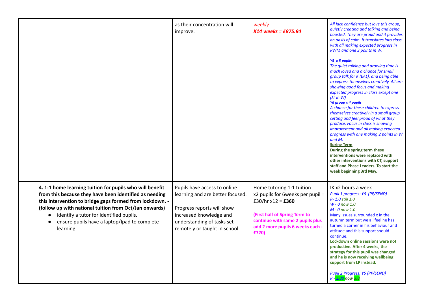|                                                                                                                                                                                                                                                                                                                                                               | as their concentration will<br>improve.                                                                                                                                                  | weekly<br>X14 weeks = £875.84                                                                                                                                                                        | All lack confidence but love this group,<br>quietly creating and talking and being<br>boosted. They are proud and it provides<br>an oasis of calm. It translates into class<br>with all making expected progress in<br>RWM and one 3 points in W.<br>Y5 x 5 pupils<br>The quiet talking and drawing time is<br>much loved and a chance for small<br>group talk for K (EAL), and being able<br>to express themselves creatively. All are<br>showing good focus and making<br>expected progress in class except one<br>$(JT$ in W)<br>Y6 group x 4 pupils<br>A chance for these children to express<br>themselves creatively in a small group<br>setting and feel proud of what they<br>produce. Focus in class is showing<br>improvement and all making expected<br>progress with one making 2 points in W<br>and M.<br><b>Spring Term</b><br>During the spring term these<br>interventions were replaced with<br>other interventions with CT, support<br>staff and Phase Leaders. To start the<br>week beginning 3rd May. |
|---------------------------------------------------------------------------------------------------------------------------------------------------------------------------------------------------------------------------------------------------------------------------------------------------------------------------------------------------------------|------------------------------------------------------------------------------------------------------------------------------------------------------------------------------------------|------------------------------------------------------------------------------------------------------------------------------------------------------------------------------------------------------|---------------------------------------------------------------------------------------------------------------------------------------------------------------------------------------------------------------------------------------------------------------------------------------------------------------------------------------------------------------------------------------------------------------------------------------------------------------------------------------------------------------------------------------------------------------------------------------------------------------------------------------------------------------------------------------------------------------------------------------------------------------------------------------------------------------------------------------------------------------------------------------------------------------------------------------------------------------------------------------------------------------------------|
| 4. 1:1 home learning tuition for pupils who will benefit<br>from this because they have been identified as needing<br>this intervention to bridge gaps formed from lockdown. -<br>(follow up with national tuition from Oct/Jan onwards)<br>identify a tutor for identified pupils.<br>$\bullet$<br>ensure pupils have a laptop/Ipad to complete<br>learning. | Pupils have access to online<br>learning and are better focused.<br>Progress reports will show<br>increased knowledge and<br>understanding of tasks set<br>remotely or taught in school. | Home tutoring 1:1 tuition<br>x2 pupils for 6weeks per pupil =<br>£30/hr x12 = £360<br>(First half of Spring Term to<br>continue with same 2 pupils plus<br>add 2 more pupils 6 weeks each -<br>£720) | IK x2 hours a week<br>Pupil 1 progress: Y6 (PP/SEND)<br>R- 1.0 still 1.0<br>$W - 0$ now 1.0<br>$M - 0$ now 1.0<br>Many issues surrounded x in the<br>autumn term but we all feel he has<br>turned a corner in his behaviour and<br>attitude and this support should<br>continue.<br>Lockdown online sessions were not<br>productive. After 4 weeks, the<br>strategy for this pupil was changed<br>and he is now receiving wellbeing<br>support from LP instead.<br>Pupil 2 Progress: Y5 (PP/SEND)<br>$R - 2.00$ now $3.0$                                                                                                                                                                                                                                                                                                                                                                                                                                                                                                 |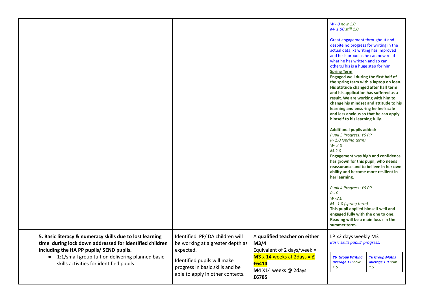|                                                                                                                                                                                                                                                                  |                                                                                                                                                                                       |                                                                                                                                                                       | $W - 0$ now 1.0<br>M-1.00 still 1.0<br>Great engagement throughout and<br>despite no progress for writing in the<br>actual data, xs writing has improved<br>and he is proud as he can now read<br>what he has written and so can<br>others. This is a huge step for him.<br><b>Spring Term</b><br>Engaged well during the first half of<br>the spring term with a laptop on loan.<br>His attitude changed after half term<br>and his application has suffered as a<br>result. We are working with him to<br>change his mindset and attitude to his<br>learning and ensuring he feels safe<br>and less anxious so that he can apply<br>himself to his learning fully.<br><b>Additional pupils added:</b><br>Pupil 3 Progress: Y6 PP<br>R-1.0 (spring term)<br>$W - 2.0$<br>$M-2.0$<br><b>Engagement was high and confidence</b><br>has grown for this pupil, who needs<br>reassurance and to believe in her own<br>ability and become more resilient in<br>her learning.<br>Pupil 4 Progress: Y6 PP<br>$R - O$<br>$W - 2.0$<br>M - 1.0 (spring term)<br>This pupil applied himself well and<br>engaged fully with the one to one.<br>Reading will be a main focus in the<br>summer term. |
|------------------------------------------------------------------------------------------------------------------------------------------------------------------------------------------------------------------------------------------------------------------|---------------------------------------------------------------------------------------------------------------------------------------------------------------------------------------|-----------------------------------------------------------------------------------------------------------------------------------------------------------------------|-----------------------------------------------------------------------------------------------------------------------------------------------------------------------------------------------------------------------------------------------------------------------------------------------------------------------------------------------------------------------------------------------------------------------------------------------------------------------------------------------------------------------------------------------------------------------------------------------------------------------------------------------------------------------------------------------------------------------------------------------------------------------------------------------------------------------------------------------------------------------------------------------------------------------------------------------------------------------------------------------------------------------------------------------------------------------------------------------------------------------------------------------------------------------------------------|
| 5. Basic literacy & numeracy skills due to lost learning<br>time during lock down addressed for identified children<br>including the HA PP pupils/ SEND pupils.<br>• 1:1/small group tuition delivering planned basic<br>skills activities for identified pupils | Identified PP/DA children will<br>be working at a greater depth as<br>expected.<br>Identified pupils will make<br>progress in basic skills and be<br>able to apply in other contexts. | A qualified teacher on either<br>M <sub>3/4</sub><br>Equivalent of 2 days/week =<br>$M3 \times 14$ weeks at 2days = $E$<br>£6414<br>M4 X14 weeks $@$ 2days =<br>£6785 | LP x2 days weekly M3<br><b>Basic skills pupils' progress:</b><br><b>Y6 Group Writing</b><br><b>Y6 Group Maths</b><br>average 1.0 now<br>average 1.0 now<br>1.5<br>1.5                                                                                                                                                                                                                                                                                                                                                                                                                                                                                                                                                                                                                                                                                                                                                                                                                                                                                                                                                                                                                   |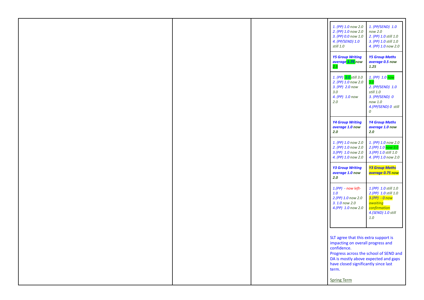|  | 1. (PP) 1.0 now 2.0<br>2. (PP) 1.0 now 2.0<br>3. (PP) 0.0 now 1.0<br>4. (PP/SEND) 1.0<br>still 1.0<br><b>Y5 Group Writing</b><br>average 1.75 now<br>2.5                                                                                          | 1. (PP/SEND) 1.0<br>now 2.0<br>2. (PP) 1.0 still 1.0<br>3. (PP) 1.0 still 1.0<br>4. (PP) 1.0 now 2.0<br><b>Y5 Group Maths</b><br>average 0.5 now<br>1.25 |
|--|---------------------------------------------------------------------------------------------------------------------------------------------------------------------------------------------------------------------------------------------------|----------------------------------------------------------------------------------------------------------------------------------------------------------|
|  | 1. (PP) 3.0 still 3.0<br>2. (PP) 1.0 now 2.0<br>3. (PP) 2.0 now<br>3.0<br>4. (PP) 1.0 now<br>$2.0\,$                                                                                                                                              | 1. (PP) 1.0 now<br>3.0<br>2. (PP/SEND) 1.0<br>still 1.0<br>3. (PP/SEND) 0<br>now 1.0<br>4.(PP/SEND) 0 still<br>0                                         |
|  | <b>Y4 Group Writing</b><br>average 1.0 now<br>$2.0$                                                                                                                                                                                               | <b>Y4 Group Maths</b><br>average 1.0 now<br>2.0                                                                                                          |
|  | 1. (PP) 1.0 now 2.0<br>2. (PP) 1.0 now 2.0<br>3.(PP) 1.0 now 2.0<br>4. (PP) 1.0 now 2.0                                                                                                                                                           | 1. (PP) 1.0 now 2.0<br>2.(PP) 1.0 now 3.0<br>3. (PP) 1.0 still 1.0<br>4. (PP) 1.0 now 2.0                                                                |
|  | <b>Y3 Group Writing</b><br>average 1.0 now<br>2.0                                                                                                                                                                                                 | <b>Y3 Group Maths</b><br><mark>average 0.75 now</mark>                                                                                                   |
|  | $1.(PP) - now left-$<br>1.0<br>2.(PP) 1.0 now 2.0<br>3. 1.0 now 2.0<br>4.(PP) 1.0 now 2.0                                                                                                                                                         | 1.(PP) 1.0 still 1.0<br>2.(PP) 1.0 still 1.0<br>3.(PP) - 0 now<br>awaiting<br><mark>confirmation</mark><br>4.(SEND) 1.0 still<br>1.0                     |
|  | SLT agree that this extra support is<br>impacting on overall progress and<br>confidence.<br>Progress across the school of SEND and<br>DA is mostly above expected and gaps<br>have closed significantly since last<br>term.<br><b>Spring Term</b> |                                                                                                                                                          |
|  |                                                                                                                                                                                                                                                   |                                                                                                                                                          |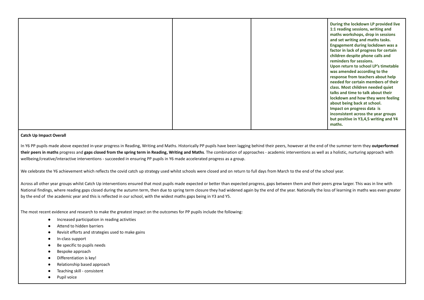## **Catch Up Impact Overall**

In Y6 PP pupils made above expected in-year progress in Reading, Writing and Maths. Historically PP pupils have been lagging behind their peers, however at the end of the summer term they **outperformed their peers in maths** progress and **gaps closed from the spring term in Reading, Writing and Maths**. The combination of approaches - academic interventions as well as a holistic, nurturing approach with wellbeing/creative/interactive interventions - succeeded in ensuring PP pupils in Y6 made accelerated progress as a group.

We celebrate the Y6 achievement which reflects the covid catch up strategy used whilst schools were closed and on return to full days from March to the end of the school year.

Across all other year groups whilst Catch Up interventions ensured that most pupils made expected or better than expected progress, gaps between them and their peers grew larger. This was in line with National findings, where reading gaps closed during the autumn term, then due to spring term closure they had widened again by the end of the year. Nationally the loss of learning in maths was even greater by the end of the academic year and this is reflected in our school, with the widest maths gaps being in Y3 and Y5.

The most recent evidence and research to make the greatest impact on the outcomes for PP pupils include the following:

- Increased participation in reading activities
- Attend to hidden barriers
- Revisit efforts and strategies used to make gains
- In-class support
- Be specific to pupils needs
- Bespoke approach
- Differentiation is key!
- Relationship based approach
- Teaching skill consistent
- Pupil voice